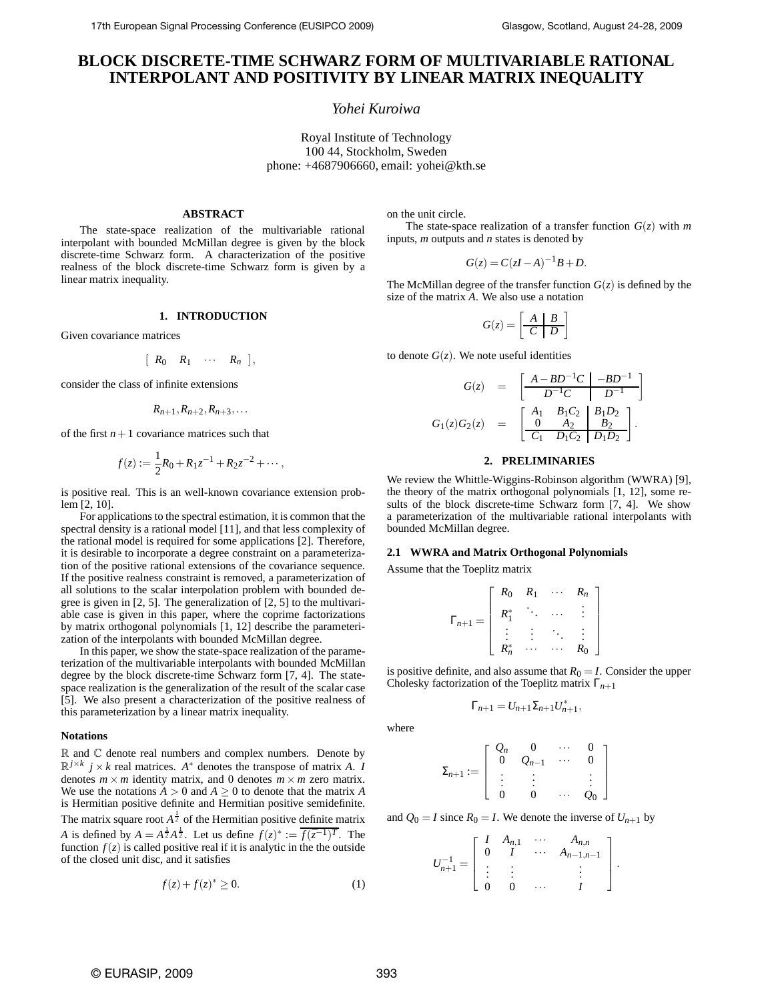# **BLOCK DISCRETE-TIME SCHWARZ FORM OF MULTIVARIABLE RATIONAL INTERPOLANT AND POSITIVITY BY LINEAR MATRIX INEQUALITY**

# *Yohei Kuroiwa*

Royal Institute of Technology 100 44, Stockholm, Sweden phone: +4687906660, email: yohei@kth.se

# **ABSTRACT**

The state-space realization of the multivariable rational interpolant with bounded McMillan degree is given by the block discrete-time Schwarz form. A characterization of the positive realness of the block discrete-time Schwarz form is given by a linear matrix inequality.

### **1. INTRODUCTION**

Given covariance matrices

$$
[ R_0 R_1 \cdots R_n ],
$$

consider the class of infinite extensions

$$
R_{n+1},R_{n+2},R_{n+3},\ldots
$$

of the first  $n+1$  covariance matrices such that

$$
f(z) := \frac{1}{2}R_0 + R_1 z^{-1} + R_2 z^{-2} + \cdots,
$$

is positive real. This is an well-known covariance extension problem [2, 10].

For applications to the spectral estimation, it is common that the spectral density is a rational model [11], and that less complexity of the rational model is required for some applications [2]. Therefore, it is desirable to incorporate a degree constraint on a parameterization of the positive rational extensions of the covariance sequence. If the positive realness constraint is removed, a parameterization of all solutions to the scalar interpolation problem with bounded degree is given in [2, 5]. The generalization of [2, 5] to the multivariable case is given in this paper, where the coprime factorizations by matrix orthogonal polynomials [1, 12] describe the parameterization of the interpolants with bounded McMillan degree.

In this paper, we show the state-space realization of the parameterization of the multivariable interpolants with bounded McMillan degree by the block discrete-time Schwarz form [7, 4]. The statespace realization is the generalization of the result of the scalar case [5]. We also present a characterization of the positive realness of this parameterization by a linear matrix inequality.

### **Notations**

 $\mathbb R$  and  $\mathbb C$  denote real numbers and complex numbers. Denote by  $\mathbb{R}^{j \times k}$  *j* × *k* real matrices. *A*<sup>\*</sup> denotes the transpose of matrix *A*. *I* denotes  $m \times m$  identity matrix, and 0 denotes  $m \times m$  zero matrix. We use the notations  $A > 0$  and  $A \geq 0$  to denote that the matrix *A* is Hermitian positive definite and Hermitian positive semidefinite. The matrix square root  $A^{\frac{1}{2}}$  of the Hermitian positive definite matrix *A* is defined by  $A = A^{\frac{1}{2}}A^{\frac{1}{2}}$ . Let us define  $f(z)^{*} := \overline{f(\overline{z}^{-1})^{T}}$ . The function  $f(z)$  is called positive real if it is analytic in the the outside of the closed unit disc, and it satisfies

$$
f(z) + f(z)^* \ge 0. \tag{1}
$$

on the unit circle.

The state-space realization of a transfer function  $G(z)$  with *m* inputs, *m* outputs and *n* states is denoted by

$$
G(z) = C(zI - A)^{-1}B + D.
$$

The McMillan degree of the transfer function  $G(z)$  is defined by the size of the matrix *A*. We also use a notation

$$
G(z) = \left[\begin{array}{c|c} A & B \\ \hline C & D \end{array}\right]
$$

to denote  $G(z)$ . We note useful identities

$$
G(z) = \begin{bmatrix} \frac{A - BD^{-1}C}{D^{-1}C} & \frac{-BD^{-1}}{D^{-1}} \end{bmatrix}
$$

$$
G_1(z)G_2(z) = \begin{bmatrix} A_1 & B_1C_2 & B_1D_2 \\ \frac{0}{C_1} & \frac{A_2}{D_1C_2} & \frac{B_2}{D_1D_2} \end{bmatrix}.
$$

### **2. PRELIMINARIES**

We review the Whittle-Wiggins-Robinson algorithm (WWRA) [9], the theory of the matrix orthogonal polynomials [1, 12], some results of the block discrete-time Schwarz form [7, 4]. We show a parameterization of the multivariable rational interpolants with bounded McMillan degree.

### **2.1 WWRA and Matrix Orthogonal Polynomials**

Assume that the Toeplitz matrix

$$
\Gamma_{n+1} = \left[ \begin{array}{cccc} R_0 & R_1 & \cdots & R_n \\ R_1^* & \ddots & \cdots & \vdots \\ \vdots & \vdots & \ddots & \vdots \\ R_n^* & \cdots & \cdots & R_0 \end{array} \right]
$$

is positive definite, and also assume that  $R_0 = I$ . Consider the upper Cholesky factorization of the Toeplitz matrix Γ*n*+<sup>1</sup>

$$
\Gamma_{n+1} = U_{n+1} \Sigma_{n+1} U_{n+1}^*,
$$

where

$$
\Sigma_{n+1}:=\left[\begin{array}{cccc}Q_n&0&\cdots&0\\0&Q_{n-1}&\cdots&0\\\vdots&\vdots&&\vdots\\0&0&\cdots&Q_0\end{array}\right]
$$

and  $Q_0 = I$  since  $R_0 = I$ . We denote the inverse of  $U_{n+1}$  by

$$
U_{n+1}^{-1} = \left[ \begin{array}{cccc} I & A_{n,1} & \cdots & A_{n,n} \\ 0 & I & \cdots & A_{n-1,n-1} \\ \vdots & \vdots & & \vdots \\ 0 & 0 & \cdots & I \end{array} \right].
$$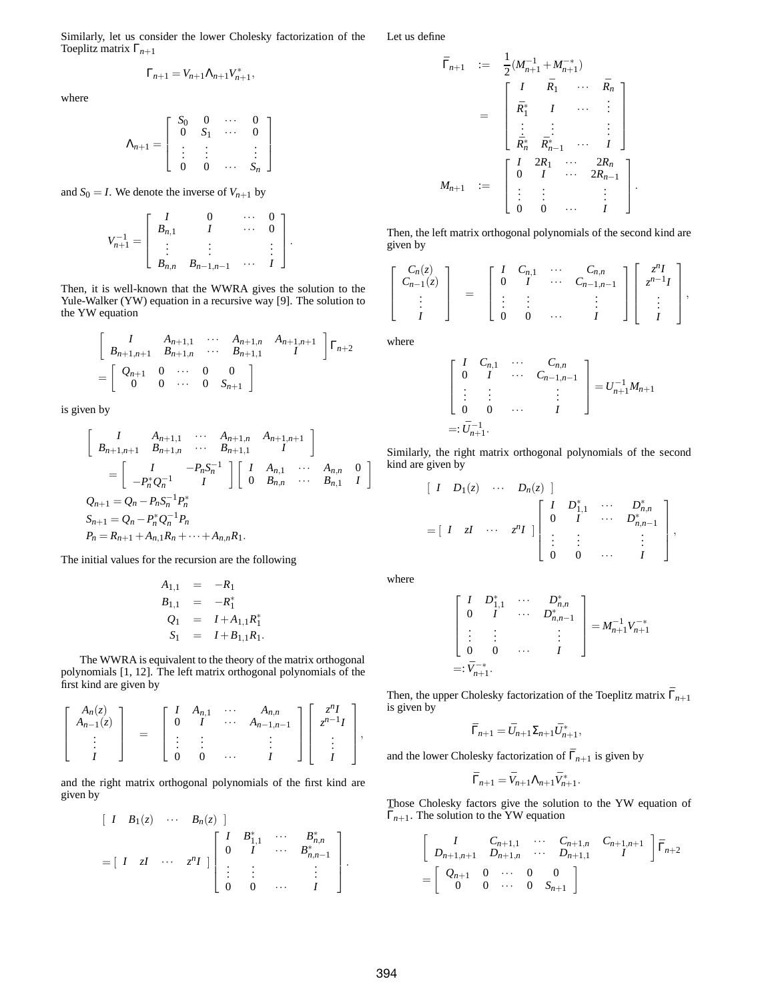Similarly, let us consider the lower Cholesky factorization of the Toeplitz matrix Γ*n*+<sup>1</sup>

$$
\Gamma_{n+1} = V_{n+1} \Lambda_{n+1} V_{n+1}^*,
$$

where

$$
\Lambda_{n+1} = \left[ \begin{array}{cccc} S_0 & 0 & \cdots & 0 \\ 0 & S_1 & \cdots & 0 \\ \vdots & \vdots & & \vdots \\ 0 & 0 & \cdots & S_n \end{array} \right]
$$

and  $S_0 = I$ . We denote the inverse of  $V_{n+1}$  by

$$
V_{n+1}^{-1} = \left[ \begin{array}{ccccc} I & 0 & \cdots & 0 \\ B_{n,1} & I & \cdots & 0 \\ \vdots & \vdots & & \vdots \\ B_{n,n} & B_{n-1,n-1} & \cdots & I \end{array} \right].
$$

Then, it is well-known that the WWRA gives the solution to the Yule-Walker (YW) equation in a recursive way [9]. The solution to the YW equation

$$
\begin{bmatrix}\nI & A_{n+1,1} & \cdots & A_{n+1,n} & A_{n+1,n+1} \\
B_{n+1,n+1} & B_{n+1,n} & \cdots & B_{n+1,1} & I\n\end{bmatrix} \Gamma_{n+2}
$$
\n
$$
= \begin{bmatrix}\nQ_{n+1} & 0 & \cdots & 0 & 0 \\
0 & 0 & \cdots & 0 & S_{n+1}\n\end{bmatrix}
$$

is given by

$$
\begin{bmatrix}\nI & A_{n+1,1} & \cdots & A_{n+1,n} & A_{n+1,n+1} \\
B_{n+1,n+1} & B_{n+1,n} & \cdots & B_{n+1,1} & I\n\end{bmatrix}
$$
\n
$$
= \begin{bmatrix}\nI & -P_n S_n^{-1} \\
-P_n^* Q_n^{-1} & I\n\end{bmatrix} \begin{bmatrix}\nI & A_{n,1} & \cdots & A_{n,n} & 0 \\
0 & B_{n,n} & \cdots & B_{n,1} & I\n\end{bmatrix}
$$
\n
$$
Q_{n+1} = Q_n - P_n S_n^{-1} P_n^*
$$
\n
$$
S_{n+1} = Q_n - P_n^* Q_n^{-1} P_n
$$
\n
$$
P_n = R_{n+1} + A_{n,1} R_n + \cdots + A_{n,n} R_1.
$$

The initial values for the recursion are the following

$$
A_{1,1} = -R_1 \n B_{1,1} = -R_1^* \n Q_1 = I + A_{1,1}R_1^* \n S_1 = I + B_{1,1}R_1.
$$

The WWRA is equivalent to the theory of the matrix orthogonal polynomials [1, 12]. The left matrix orthogonal polynomials of the first kind are given by

$$
\begin{bmatrix}\nA_n(z) \\
A_{n-1}(z) \\
\vdots \\
I\n\end{bmatrix} = \begin{bmatrix}\nI & A_{n,1} & \cdots & A_{n,n} \\
0 & I & \cdots & A_{n-1,n-1} \\
\vdots & \vdots & & \vdots \\
0 & 0 & \cdots & I\n\end{bmatrix} \begin{bmatrix}\nz^{n}I \\
z^{n-1}I \\
\vdots \\
I\n\end{bmatrix},
$$

and the right matrix orthogonal polynomials of the first kind are given by

$$
\begin{bmatrix} I & B_1(z) & \cdots & B_n(z) \end{bmatrix}
$$
  
=  $\begin{bmatrix} I & zI & \cdots & z^nI \end{bmatrix} \begin{bmatrix} I & B_{1,1}^* & \cdots & B_{n,n}^* \\ 0 & I & \cdots & B_{n,n-1}^* \\ \vdots & \vdots & & \vdots \\ 0 & 0 & \cdots & I \end{bmatrix}$ .

Let us define

$$
\begin{array}{rcl}\n\bar{\Gamma}_{n+1} & := & \frac{1}{2} (M_{n+1}^{-1} + M_{n+1}^{-*}) \\
& = & \begin{bmatrix}\nI & \bar{R}_1 & \cdots & \bar{R}_n \\
\bar{R}_1^* & I & \cdots & \vdots \\
\vdots & \vdots & \ddots & \vdots \\
\bar{R}_n^* & \bar{R}_{n-1}^* & \cdots & I\n\end{bmatrix} \\
M_{n+1} & := & \begin{bmatrix}\nI & 2R_1 & \cdots & 2R_n \\
0 & I & \cdots & 2R_{n-1} \\
\vdots & \vdots & \ddots & \vdots \\
0 & 0 & \cdots & I\n\end{bmatrix}\n\end{array}
$$

Then, the left matrix orthogonal polynomials of the second kind are given by

.

$$
\left[\begin{array}{c} C_n(z) \\ C_{n-1}(z) \\ \vdots \\ I \end{array}\right] = \left[\begin{array}{cccc} I & C_{n,1} & \cdots & C_{n,n} \\ 0 & I & \cdots & C_{n-1,n-1} \\ \vdots & \vdots & & \vdots \\ 0 & 0 & \cdots & I \end{array}\right] \left[\begin{array}{c} z^n I \\ z^{n-1} I \\ \vdots \\ I \end{array}\right],
$$

where

$$
\begin{bmatrix} I & C_{n,1} & \cdots & C_{n,n} \\ 0 & I & \cdots & C_{n-1,n-1} \\ \vdots & \vdots & & \vdots \\ 0 & 0 & \cdots & I \end{bmatrix} = U_{n+1}^{-1} M_{n+1}
$$
  
=:  $\bar{U}_{n+1}^{-1}$ .

Similarly, the right matrix orthogonal polynomials of the second kind are given by

$$
\begin{bmatrix} I & D_1(z) & \cdots & D_n(z) \end{bmatrix}
$$
  
=  $\begin{bmatrix} I & zI & \cdots & z^{n}I \end{bmatrix} \begin{bmatrix} I & D_{1,1}^* & \cdots & D_{n,n}^* \\ 0 & I & \cdots & D_{n,n-1}^* \\ \vdots & \vdots & & \vdots \\ 0 & 0 & \cdots & I \end{bmatrix}$ ,

where

$$
\begin{bmatrix} I & D_{1,1}^* & \cdots & D_{n,n}^* \\ 0 & I & \cdots & D_{n,n-1}^* \\ \vdots & \vdots & & \vdots \\ 0 & 0 & \cdots & I \end{bmatrix} = M_{n+1}^{-1} V_{n+1}^{-*}
$$
  
=:  $\bar{V}_{n+1}^{-*}$ .

Then, the upper Cholesky factorization of the Toeplitz matrix  $\bar{\Gamma}_{n+1}$ is given by

$$
\bar{\Gamma}_{n+1} = \bar{U}_{n+1} \Sigma_{n+1} \bar{U}_{n+1}^*,
$$

and the lower Cholesky factorization of  $\bar{\Gamma}_{n+1}$  is given by

$$
\bar{\Gamma}_{n+1} = \bar{V}_{n+1} \Lambda_{n+1} \bar{V}_{n+1}^*.
$$

Those Cholesky factors give the solution to the YW equation of  $\bar{\Gamma}_{n+1}$ . The solution to the YW equation

$$
\begin{bmatrix}\nI & C_{n+1,1} & \cdots & C_{n+1,n} & C_{n+1,n+1} \\
D_{n+1,n+1} & D_{n+1,n} & \cdots & D_{n+1,1} & I\n\end{bmatrix} \overline{\Gamma}_{n+2}
$$
\n
$$
= \begin{bmatrix}\nQ_{n+1} & 0 & \cdots & 0 & 0 \\
0 & 0 & \cdots & 0 & S_{n+1}\n\end{bmatrix}
$$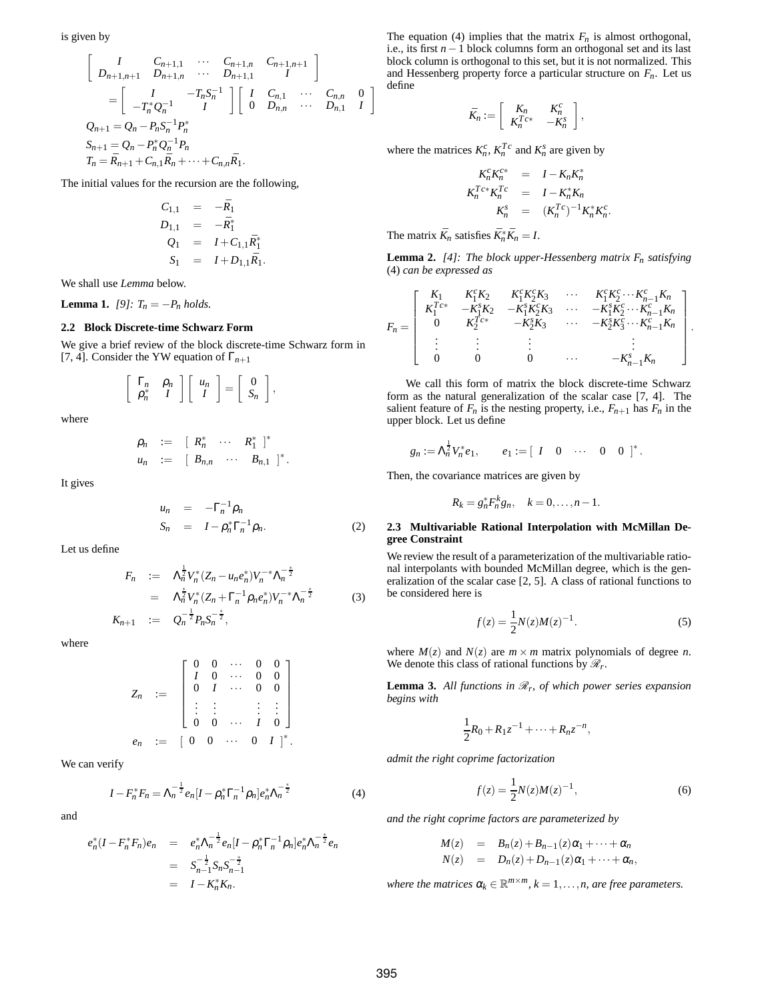is given by

$$
\begin{bmatrix}\nI & C_{n+1,1} & \cdots & C_{n+1,n} & C_{n+1,n+1} \\
D_{n+1,n+1} & D_{n+1,n} & \cdots & D_{n+1,1} & I\n\end{bmatrix}
$$
\n
$$
= \begin{bmatrix}\nI & -T_n S_n^{-1} \\
-T_n^* Q_n^{-1} & I\n\end{bmatrix} \begin{bmatrix}\nI & C_{n,1} & \cdots & C_{n,n} & 0 \\
0 & D_{n,n} & \cdots & D_{n,1} & I\n\end{bmatrix}
$$
\n
$$
Q_{n+1} = Q_n - P_n S_n^{-1} P_n^*
$$
\n
$$
S_{n+1} = Q_n - P_n^* Q_n^{-1} P_n
$$
\n
$$
T_n = \bar{R}_{n+1} + C_{n,1} \bar{R}_n + \cdots + C_{n,n} \bar{R}_1.
$$

The initial values for the recursion are the following,

$$
C_{1,1} = -\bar{R}_1
$$
  
\n
$$
D_{1,1} = -\bar{R}_1^*
$$
  
\n
$$
Q_1 = I + C_{1,1}\bar{R}_1^*
$$
  
\n
$$
S_1 = I + D_{1,1}\bar{R}_1.
$$

We shall use *Lemma* below.

**Lemma 1.** *[9]:*  $T_n = -P_n$  *holds.* 

# **2.2 Block Discrete-time Schwarz Form**

We give a brief review of the block discrete-time Schwarz form in [7, 4]. Consider the YW equation of  $\Gamma_{n+1}$ 

$$
\left[\begin{array}{cc} \Gamma_n & \rho_n \\ \rho_n^* & I \end{array}\right] \left[\begin{array}{c} u_n \\ I \end{array}\right] = \left[\begin{array}{c} 0 \\ S_n \end{array}\right],
$$

where

$$
\rho_n := [R_n^* \cdots R_1^*]^*
$$
  

$$
u_n := [B_{n,n} \cdots B_{n,1}]^*.
$$

It gives

$$
u_n = -\Gamma_n^{-1} \rho_n
$$
  
\n
$$
S_n = I - \rho_n^* \Gamma_n^{-1} \rho_n.
$$
 (2)

Let us define

$$
F_n := \Lambda_n^{\frac{1}{2}} V_n^* (Z_n - u_n e_n^*) V_n^{-*} \Lambda_n^{-\frac{1}{2}}
$$
  
\n
$$
= \Lambda_n^{\frac{1}{2}} V_n^* (Z_n + \Gamma_n^{-1} \rho_n e_n^*) V_n^{-*} \Lambda_n^{-\frac{1}{2}}
$$
  
\n
$$
K_{n+1} := Q_n^{-\frac{1}{2}} P_n S_n^{-\frac{1}{2}},
$$
\n(3)

where

$$
Z_n := \begin{bmatrix} 0 & 0 & \cdots & 0 & 0 \\ I & 0 & \cdots & 0 & 0 \\ 0 & I & \cdots & 0 & 0 \\ \vdots & \vdots & & & \vdots & \vdots \\ 0 & 0 & \cdots & I & 0 \end{bmatrix}
$$
  

$$
e_n := \begin{bmatrix} 0 & 0 & \cdots & 0 & I \end{bmatrix}^*
$$

We can verify

*e*

$$
I - F_n^* F_n = \Lambda_n^{-\frac{1}{2}} e_n [I - \rho_n^* \Gamma_n^{-1} \rho_n] e_n^* \Lambda_n^{-\frac{1}{2}}
$$
(4)

and

$$
e_n^*(I - F_n^* F_n)e_n = e_n^* \Lambda_n^{-\frac{1}{2}} e_n [I - \rho_n^* \Gamma_n^{-1} \rho_n] e_n^* \Lambda_n^{-\frac{1}{2}} e_n
$$
  
=  $S_{n-1}^{-\frac{1}{2}} S_n S_{n-1}^{-\frac{1}{2}}$   
=  $I - K_n^* K_n$ .

The equation (4) implies that the matrix  $F_n$  is almost orthogonal, i.e., its first *n*−1 block columns form an orthogonal set and its last block column is orthogonal to this set, but it is not normalized. This and Hessenberg property force a particular structure on  $F_n$ . Let us define

$$
\bar{K}_n := \left[ \begin{array}{cc} K_n & K_n^c \\ K_n^{Tc*} & -K_n^s \end{array} \right],
$$

where the matrices  $K_n^c$ ,  $K_n^T$  and  $K_n^s$  are given by

$$
K_n^C K_n^{C*} = I - K_n K_n^*
$$
  
\n
$$
K_n^{Tc*} K_n^{Tc} = I - K_n^* K_n
$$
  
\n
$$
K_n^S = (K_n^{Tc})^{-1} K_n^* K_n^c.
$$

The matrix  $\bar{K}_n$  satisfies  $\bar{K}_n^* \bar{K}_n = I$ .

**Lemma 2.** *[4]: The block upper-Hessenberg matrix Fn satisfying* (4) *can be expressed as*

$$
F_n = \left[ \begin{array}{cccccc} K_1 & K_1^c K_2 & K_1^c K_2^c K_3 & \cdots & K_1^c K_2^c \cdots K_{n-1}^c K_n \\ K_1^{T_{c*}} & -K_1^s K_2 & -K_1^s K_2^c K_3 & \cdots & -K_1^s K_2^c \cdots K_{n-1}^c K_n \\ 0 & K_2^{T_{c*}} & -K_2^s K_3 & \cdots & -K_2^s K_3^c \cdots K_{n-1}^c K_n \\ \vdots & \vdots & \vdots & & \vdots & & \vdots \\ 0 & 0 & 0 & \cdots & -K_{n-1}^s K_n \end{array} \right]
$$

.

We call this form of matrix the block discrete-time Schwarz form as the natural generalization of the scalar case [7, 4]. The salient feature of  $F_n$  is the nesting property, i.e.,  $F_{n+1}$  has  $F_n$  in the upper block. Let us define

$$
g_n := \Lambda_n^{\frac{1}{2}} V_n^* e_1
$$
,  $e_1 := [I \ 0 \ \cdots \ 0 \ 0]^*$ .

Then, the covariance matrices are given by

$$
R_k = g_n^* F_n^k g_n, \quad k=0,\ldots,n-1.
$$

## **2.3 Multivariable Rational Interpolation with McMillan Degree Constraint**

We review the result of a parameterization of the multivariable rational interpolants with bounded McMillan degree, which is the generalization of the scalar case [2, 5]. A class of rational functions to be considered here is

$$
f(z) = \frac{1}{2}N(z)M(z)^{-1}.
$$
 (5)

where  $M(z)$  and  $N(z)$  are  $m \times m$  matrix polynomials of degree *n*. We denote this class of rational functions by  $\mathcal{R}_r$ .

**Lemma 3.** All functions in  $\mathcal{R}_r$ , of which power series expansion *begins with*

$$
\frac{1}{2}R_0 + R_1 z^{-1} + \cdots + R_n z^{-n},
$$

*admit the right coprime factorization*

$$
f(z) = \frac{1}{2}N(z)M(z)^{-1},
$$
 (6)

*and the right coprime factors are parameterized by*

$$
M(z) = B_n(z) + B_{n-1}(z)\alpha_1 + \cdots + \alpha_n
$$
  
\n
$$
N(z) = D_n(z) + D_{n-1}(z)\alpha_1 + \cdots + \alpha_n,
$$

where the matrices  $\alpha_k \in \mathbb{R}^{m \times m}$ ,  $k = 1, \ldots, n$ , are free parameters.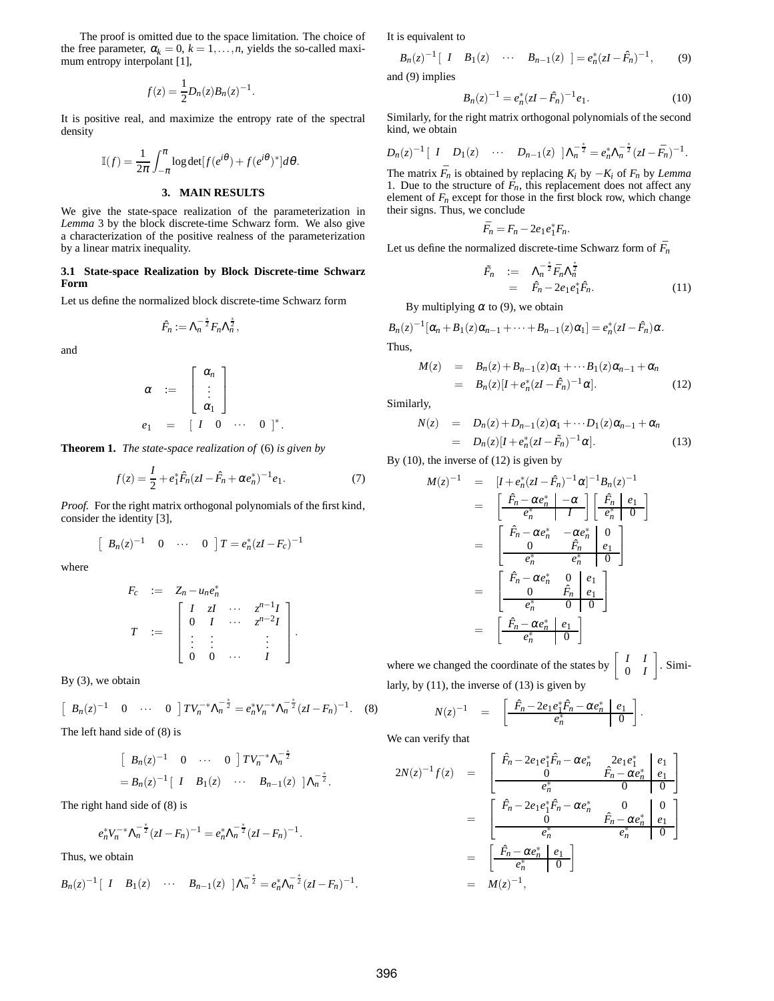The proof is omitted due to the space limitation. The choice of the free parameter,  $\alpha_k = 0$ ,  $k = 1, \ldots, n$ , yields the so-called maximum entropy interpolant [1],

$$
f(z) = \frac{1}{2}D_n(z)B_n(z)^{-1}.
$$

It is positive real, and maximize the entropy rate of the spectral density

$$
\mathbb{I}(f) = \frac{1}{2\pi} \int_{-\pi}^{\pi} \log \det[f(e^{i\theta}) + f(e^{i\theta})^*] d\theta.
$$
  
3. MAIN RESULTS

We give the state-space realization of the parameterization in *Lemma* 3 by the block discrete-time Schwarz form. We also give a characterization of the positive realness of the parameterization by a linear matrix inequality.

### **3.1 State-space Realization by Block Discrete-time Schwarz Form**

Let us define the normalized block discrete-time Schwarz form

$$
\hat{F}_n := \Lambda_n^{-\frac{2}{2}} F_n \Lambda_n^{\frac{2}{2}},
$$

and

$$
\alpha := \begin{bmatrix} \alpha_n \\ \vdots \\ \alpha_1 \end{bmatrix}
$$
  

$$
e_1 = [I \ 0 \ \cdots \ 0]^*.
$$

**Theorem 1.** *The state-space realization of* (6) *is given by*

$$
f(z) = \frac{I}{2} + e_1^* \hat{F}_n (zI - \hat{F}_n + \alpha e_n^*)^{-1} e_1.
$$
 (7)

*Proof.* For the right matrix orthogonal polynomials of the first kind, consider the identity [3],

$$
\begin{bmatrix} B_n(z)^{-1} & 0 & \cdots & 0 \end{bmatrix} T = e_n^*(zI - F_c)^{-1}
$$

where

$$
F_c := Z_n - u_n e_n^*
$$
  
\n
$$
T := \begin{bmatrix} I & zI & \cdots & z^{n-1}I \\ 0 & I & \cdots & z^{n-2}I \\ \vdots & \vdots & & \vdots \\ 0 & 0 & \cdots & I \end{bmatrix}.
$$

By (3), we obtain

$$
\begin{bmatrix} B_n(z)^{-1} & 0 & \cdots & 0 \end{bmatrix} TV_n^{-*} \Lambda_n^{-\frac{2}{2}} = e_n^* V_n^{-*} \Lambda_n^{-\frac{2}{2}} (zI - F_n)^{-1}.
$$
 (8)

The left hand side of (8) is

$$
\begin{bmatrix} B_n(z)^{-1} & 0 & \cdots & 0 \end{bmatrix} TV_n^{-*} \Lambda_n^{-\frac{1}{2}}
$$
  
=  $B_n(z)^{-1} \begin{bmatrix} I & B_1(z) & \cdots & B_{n-1}(z) \end{bmatrix} \Lambda_n^{-\frac{1}{2}}.$ 

The right hand side of (8) is

$$
e_n^* V_n^{-*} \Lambda_n^{-\frac*2} (zI - F_n)^{-1} = e_n^* \Lambda_n^{-\frac*2} (zI - F_n)^{-1}.
$$

Thus, we obtain

$$
B_n(z)^{-1}
$$
 [*I*  $B_1(z)$   $\cdots$   $B_{n-1}(z)$  ]  $\Lambda_n^{-\frac{1}{2}} = e_n^* \Lambda_n^{-\frac{1}{2}} (zI - F_n)^{-1}$ 

It is equivalent to

$$
B_n(z)^{-1}
$$
[ I  $B_1(z)$  ...  $B_{n-1}(z)$ ] =  $e_n^*(zI - \hat{F}_n)^{-1}$ , (9)

and (9) implies

$$
B_n(z)^{-1} = e_n^*(zI - \hat{F}_n)^{-1}e_1.
$$
 (10)

Similarly, for the right matrix orthogonal polynomials of the second kind, we obtain

$$
D_n(z)^{-1}\left[\begin{array}{cccc} I & D_1(z) & \cdots & D_{n-1}(z) \end{array}\right]\Lambda_n^{-\frac{1}{2}}=e_n^*\Lambda_n^{-\frac{1}{2}}(zI-\bar{F}_n)^{-1}.
$$

The matrix  $\bar{F}_n$  is obtained by replacing  $K_i$  by  $-K_i$  of  $F_n$  by *Lemma* 1. Due to the structure of  $F_n$ , this replacement does not affect any element of  $F<sub>n</sub>$  except for those in the first block row, which change their signs. Thus, we conclude

$$
\bar{F}_n=F_n-2e_1e_1^*F_n.
$$

Let us define the normalized discrete-time Schwarz form of  $\bar{F}_n$ 

$$
\tilde{F}_n := \Lambda_n^{-\frac{1}{2}} \bar{F}_n \Lambda_n^{\frac{1}{2}} \n= \hat{F}_n - 2e_1 e_1^* \hat{F}_n.
$$
\n(11)

By multiplying  $\alpha$  to (9), we obtain

$$
B_n(z)^{-1}[\alpha_n+B_1(z)\alpha_{n-1}+\cdots+B_{n-1}(z)\alpha_1]=e_n^*(zI-\hat{F}_n)\alpha.
$$
  
Thus,

$$
M(z) = B_n(z) + B_{n-1}(z)\alpha_1 + \cdots + B_1(z)\alpha_{n-1} + \alpha_n
$$
  
= 
$$
B_n(z)[I + e_n^*(zI - \hat{F}_n)^{-1}\alpha].
$$
 (12)

Similarly,

$$
N(z) = D_n(z) + D_{n-1}(z)\alpha_1 + \cdots + D_1(z)\alpha_{n-1} + \alpha_n
$$
  
= 
$$
D_n(z)[I + e_n^*(zI - \tilde{F}_n)^{-1}\alpha].
$$
 (13)

By (10), the inverse of (12) is given by

$$
M(z)^{-1} = [I + e_n^*(zI - \hat{F}_n)^{-1} \alpha]^{-1} B_n(z)^{-1}
$$
  
\n
$$
= \left[\frac{\hat{F}_n - \alpha e_n^* - \alpha}{e_n^* - I}\right] \left[\frac{\hat{F}_n}{e_n^* - 0}\right]
$$
  
\n
$$
= \left[\frac{\hat{F}_n - \alpha e_n^* - \alpha e_n^*}{0} \right]
$$
  
\n
$$
= \left[\frac{\hat{F}_n - \alpha e_n^* - \alpha e_n^*}{e_n^* - e_n^* - 0}\right]
$$
  
\n
$$
= \left[\frac{\hat{F}_n - \alpha e_n^*}{0} \right] \left[\frac{\hat{F}_n}{e_n^* - 0}\right]
$$
  
\n
$$
= \left[\frac{\hat{F}_n - \alpha e_n^*}{e_n^* - 0}\right]
$$

where we changed the coordinate of the states by  $\begin{bmatrix} I & I \\ 0 & I \end{bmatrix}$ 0 *I*  $\big]$ . Similarly, by (11), the inverse of (13) is given by

$$
N(z)^{-1} = \left[ \frac{\hat{F}_n - 2e_1 e_1^* \hat{F}_n - \alpha e_n^* \mid e_1}{e_n^*} \right]
$$

.

We can verify that

$$
2N(z)^{-1}f(z) = \begin{bmatrix} \hat{F}_n - 2e_1e_1^*\hat{F}_n - \alpha e_n^* & 2e_1e_1^* & e_1 \\ 0 & \hat{F}_n - \alpha e_n^* & e_1 \\ \hline e_n^* & 0 & 0 \end{bmatrix}
$$
  

$$
= \begin{bmatrix} \hat{F}_n - 2e_1e_1^*\hat{F}_n - \alpha e_n^* & 0 & 0 \\ 0 & \hat{F}_n - \alpha e_n^* & e_1 \\ \hline e_n^* & e_n^* & 0 \end{bmatrix}
$$
  

$$
= \begin{bmatrix} \hat{F}_n - \alpha e_n^* & e_1 \\ \hline e_n^* & 0 \end{bmatrix}
$$
  

$$
= M(z)^{-1},
$$

.